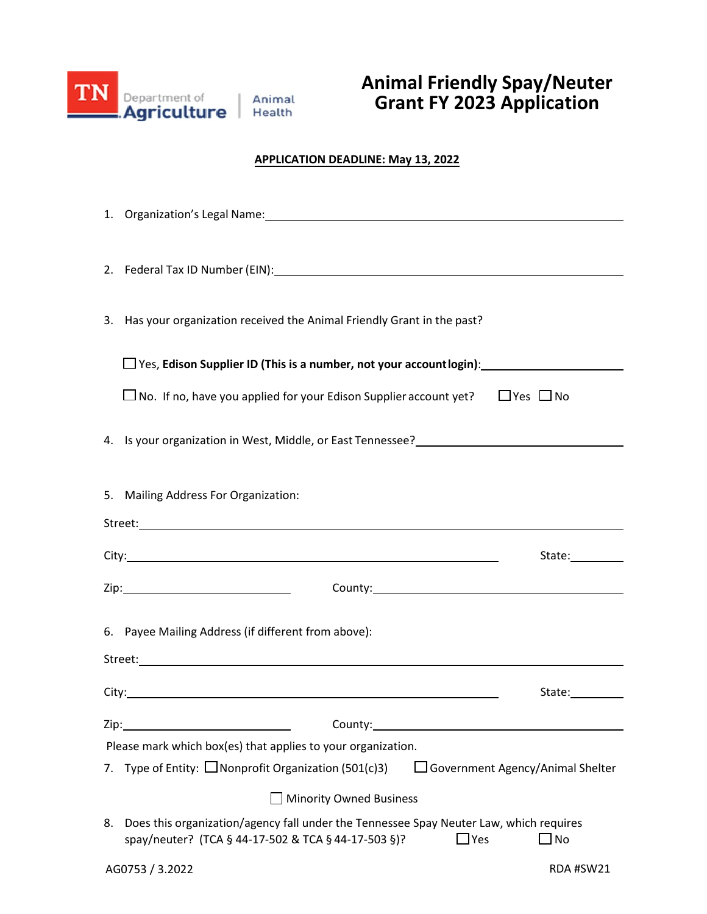

## **Animal Friendly Spay/Neuter Grant FY 2023 Application**

## **APPLICATION DEADLINE: May 13, 2022**

| 1. Organization's Legal Name: 1996 and 2008 and 2009 and 2009 and 2009 and 2009 and 2009 and 2009 and 2009 and                                                                            |                                         |  |
|-------------------------------------------------------------------------------------------------------------------------------------------------------------------------------------------|-----------------------------------------|--|
|                                                                                                                                                                                           |                                         |  |
|                                                                                                                                                                                           |                                         |  |
|                                                                                                                                                                                           |                                         |  |
| Has your organization received the Animal Friendly Grant in the past?<br>3.                                                                                                               |                                         |  |
| $\square$ Yes, Edison Supplier ID (This is a number, not your account login):                                                                                                             |                                         |  |
| $\Box$ No. If no, have you applied for your Edison Supplier account yet?                                                                                                                  | $\Box$ Yes $\Box$ No                    |  |
| 4. Is your organization in West, Middle, or East Tennessee?<br>1. Is your organization in West, Middle, or East Tennessee?<br>1. Is your organization in West, Middle, or East Tennessee? |                                         |  |
|                                                                                                                                                                                           |                                         |  |
| 5. Mailing Address For Organization:                                                                                                                                                      |                                         |  |
|                                                                                                                                                                                           |                                         |  |
|                                                                                                                                                                                           |                                         |  |
|                                                                                                                                                                                           |                                         |  |
|                                                                                                                                                                                           |                                         |  |
| 6. Payee Mailing Address (if different from above):                                                                                                                                       |                                         |  |
|                                                                                                                                                                                           |                                         |  |
|                                                                                                                                                                                           | State:                                  |  |
| Zip:<br>County:                                                                                                                                                                           |                                         |  |
| Please mark which box(es) that applies to your organization.                                                                                                                              |                                         |  |
| 7. Type of Entity: $\Box$ Nonprofit Organization (501(c)3)                                                                                                                                | $\Box$ Government Agency/Animal Shelter |  |
| <b>Minority Owned Business</b>                                                                                                                                                            |                                         |  |
| Does this organization/agency fall under the Tennessee Spay Neuter Law, which requires<br>8.<br>spay/neuter? (TCA § 44-17-502 & TCA § 44-17-503 §)?<br>$\Box$ Yes                         | $\square$ No                            |  |
| AG0753 / 3.2022                                                                                                                                                                           | RDA #SW21                               |  |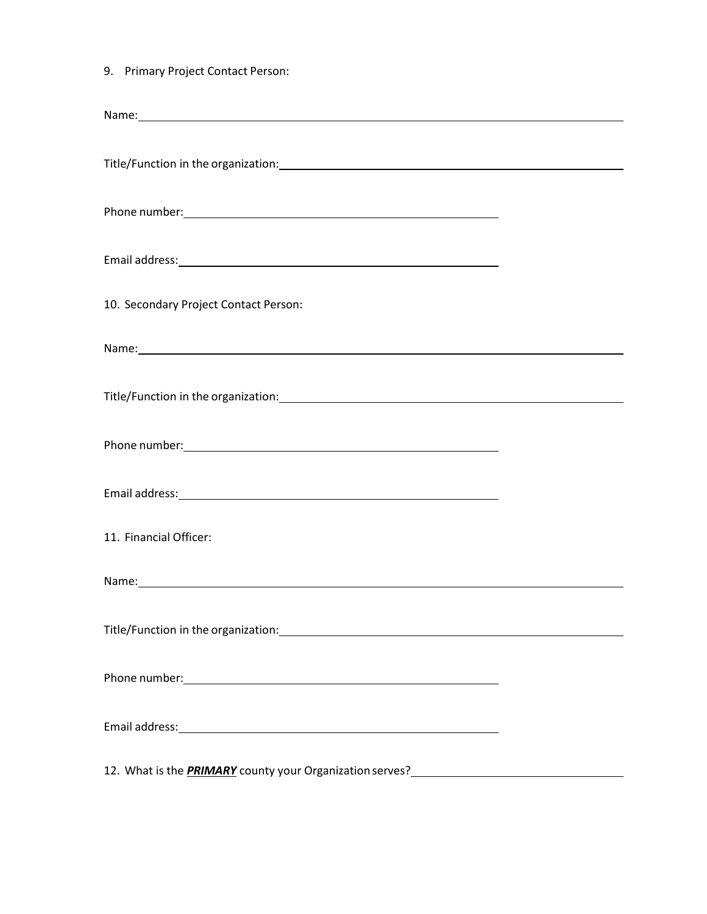9. Primary Project Contact Person:

| Title/Function in the organization:<br>Title/Function in the organization:                                                                                                                                                     |  |
|--------------------------------------------------------------------------------------------------------------------------------------------------------------------------------------------------------------------------------|--|
|                                                                                                                                                                                                                                |  |
|                                                                                                                                                                                                                                |  |
|                                                                                                                                                                                                                                |  |
| 10. Secondary Project Contact Person:                                                                                                                                                                                          |  |
| Name: Name: Name and Name and Name and Name and Name and Name and Name and Name and Name and Name and Name and Name and Name and Name and Name and Name and Name and Name and Name and Name and Name and Name and Name and Nam |  |
|                                                                                                                                                                                                                                |  |
|                                                                                                                                                                                                                                |  |
|                                                                                                                                                                                                                                |  |
| 11. Financial Officer:                                                                                                                                                                                                         |  |
|                                                                                                                                                                                                                                |  |
|                                                                                                                                                                                                                                |  |
|                                                                                                                                                                                                                                |  |
|                                                                                                                                                                                                                                |  |
| 12 What is the <b>PPIA4APV</b> country your Opposite time came?                                                                                                                                                                |  |

12. What is the *PRIMARY* county your Organization serves?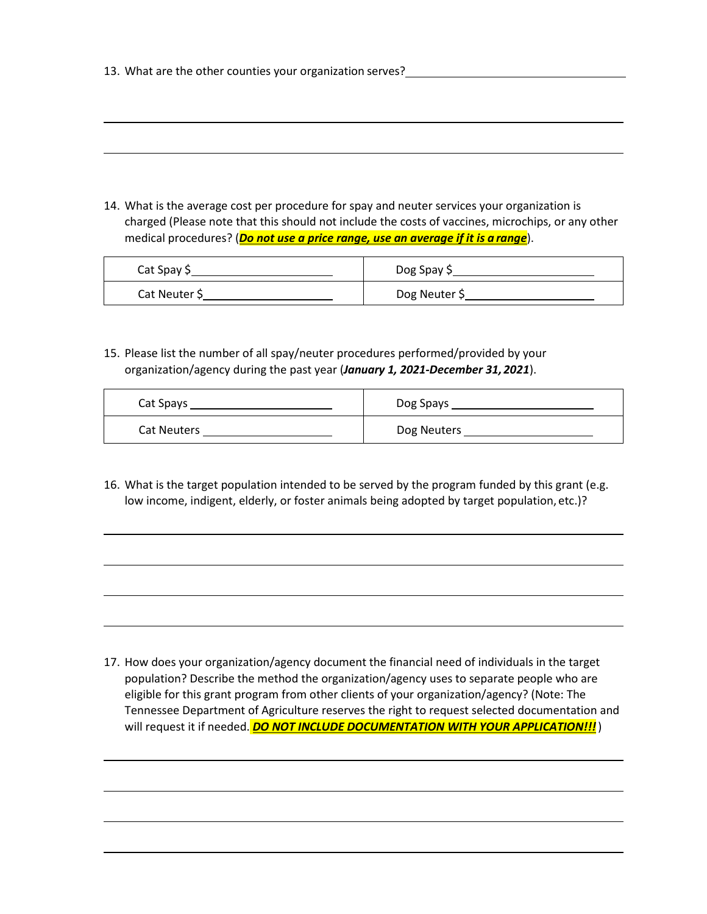| 14. What is the average cost per procedure for spay and neuter services your organization is      |
|---------------------------------------------------------------------------------------------------|
| charged (Please note that this should not include the costs of vaccines, microchips, or any other |
| medical procedures? (Do not use a price range, use an average if it is a range).                  |

| Cat Spay \$   | Dog Spay \$   |
|---------------|---------------|
| Cat Neuter \$ | Dog Neuter \$ |

15. Please list the number of all spay/neuter procedures performed/provided by your organization/agency during the past year (*January 1, 2021-December 31,2021*).

| Cat Spays          | Dog Spays   |
|--------------------|-------------|
| <b>Cat Neuters</b> | Dog Neuters |

16. What is the target population intended to be served by the program funded by this grant (e.g. low income, indigent, elderly, or foster animals being adopted by target population, etc.)?

17. How does your organization/agency document the financial need of individuals in the target population? Describe the method the organization/agency uses to separate people who are eligible for this grant program from other clients of your organization/agency? (Note: The Tennessee Department of Agriculture reserves the right to request selected documentation and will request it if needed. **DO NOT INCLUDE DOCUMENTATION WITH YOUR APPLICATION!!!**)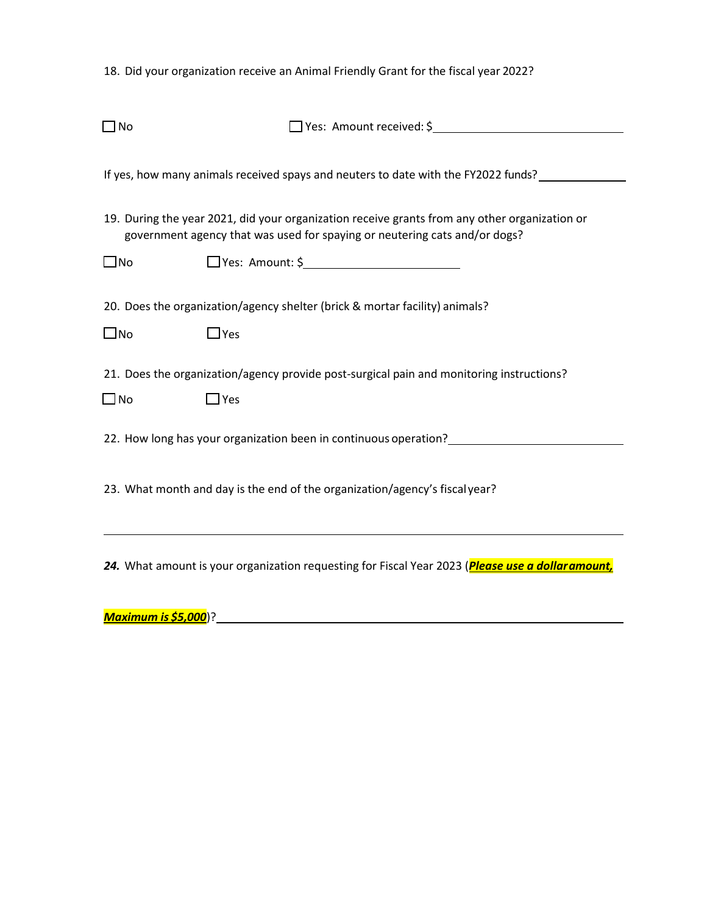18. Did your organization receive an Animal Friendly Grant for the fiscal year 2022?

| $\Box$ No    | Ves: Amount received: \$                                                                                                                                                    |
|--------------|-----------------------------------------------------------------------------------------------------------------------------------------------------------------------------|
|              | If yes, how many animals received spays and neuters to date with the FY2022 funds?                                                                                          |
|              | 19. During the year 2021, did your organization receive grants from any other organization or<br>government agency that was used for spaying or neutering cats and/or dogs? |
| $\square$ No | $\Box$ Yes: Amount: \$                                                                                                                                                      |
| $\square$ No | 20. Does the organization/agency shelter (brick & mortar facility) animals?<br>$\Box$ Yes                                                                                   |
| $\Box$ No    | 21. Does the organization/agency provide post-surgical pain and monitoring instructions?<br>$\Box$ Yes                                                                      |
|              | 22. How long has your organization been in continuous operation?                                                                                                            |
|              | 23. What month and day is the end of the organization/agency's fiscal year?                                                                                                 |
|              | 24. What amount is your organization requesting for Fiscal Year 2023 (Please use a dollar amount,                                                                           |

*Maximum is \$5,000*)?